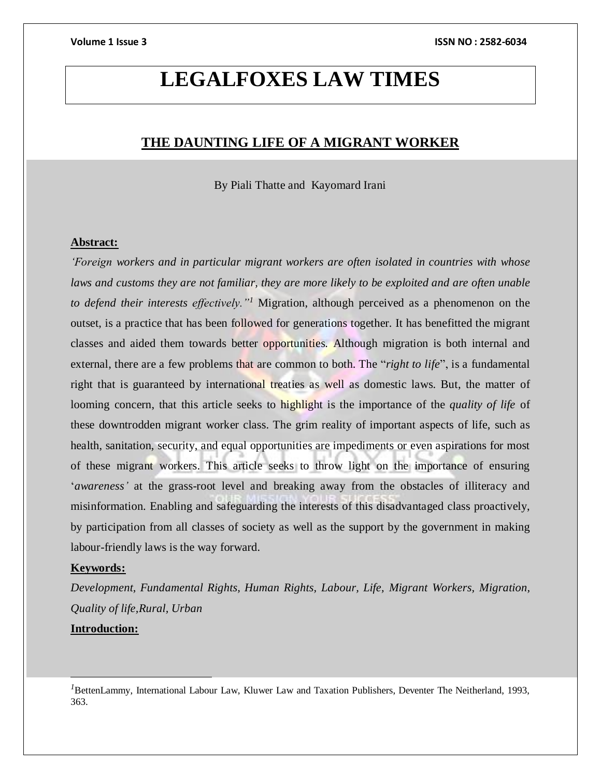# **LEGALFOXES LAW TIMES**

## **THE DAUNTING LIFE OF A MIGRANT WORKER**

By Piali Thatte and Kayomard Irani

### **Abstract:**

*'Foreign workers and in particular migrant workers are often isolated in countries with whose laws and customs they are not familiar, they are more likely to be exploited and are often unable to defend their interests effectively."<sup>1</sup>* Migration, although perceived as a phenomenon on the outset, is a practice that has been followed for generations together. It has benefitted the migrant classes and aided them towards better opportunities. Although migration is both internal and external, there are a few problems that are common to both. The "*right to life*", is a fundamental right that is guaranteed by international treaties as well as domestic laws. But, the matter of looming concern, that this article seeks to highlight is the importance of the *quality of life* of these downtrodden migrant worker class. The grim reality of important aspects of life, such as health, sanitation, security, and equal opportunities are impediments or even aspirations for most of these migrant workers. This article seeks to throw light on the importance of ensuring '*awareness'* at the grass-root level and breaking away from the obstacles of illiteracy and misinformation. Enabling and safeguarding the interests of this disadvantaged class proactively, by participation from all classes of society as well as the support by the government in making labour-friendly laws is the way forward.

### **Keywords:**

 $\overline{a}$ 

*Development, Fundamental Rights, Human Rights, Labour, Life, Migrant Workers, Migration, Quality of life,Rural, Urban* **Introduction:**

*<sup>1</sup>*BettenLammy, International Labour Law, Kluwer Law and Taxation Publishers, Deventer The Neitherland, 1993, 363.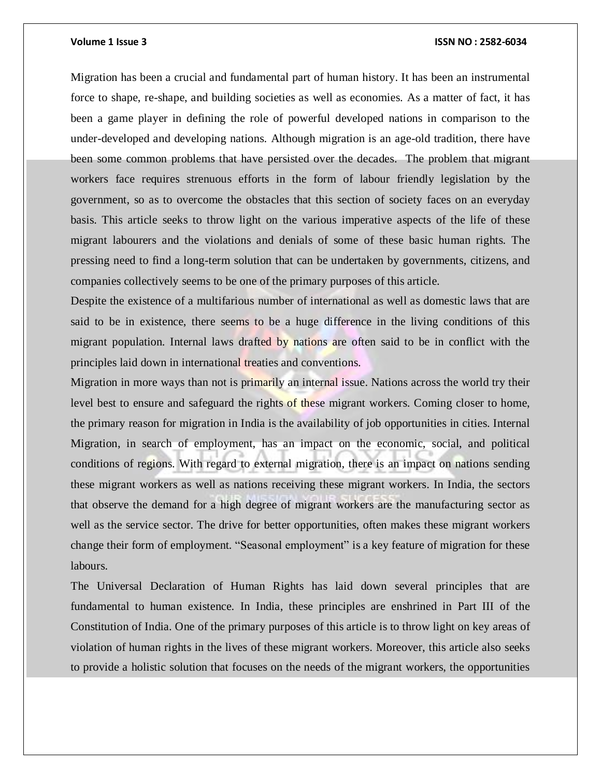Migration has been a crucial and fundamental part of human history. It has been an instrumental force to shape, re-shape, and building societies as well as economies. As a matter of fact, it has been a game player in defining the role of powerful developed nations in comparison to the under-developed and developing nations. Although migration is an age-old tradition, there have been some common problems that have persisted over the decades. The problem that migrant workers face requires strenuous efforts in the form of labour friendly legislation by the government, so as to overcome the obstacles that this section of society faces on an everyday basis. This article seeks to throw light on the various imperative aspects of the life of these migrant labourers and the violations and denials of some of these basic human rights. The pressing need to find a long-term solution that can be undertaken by governments, citizens, and companies collectively seems to be one of the primary purposes of this article.

Despite the existence of a multifarious number of international as well as domestic laws that are said to be in existence, there seems to be a huge difference in the living conditions of this migrant population. Internal laws drafted by nations are often said to be in conflict with the principles laid down in international treaties and conventions.

Migration in more ways than not is primarily an internal issue. Nations across the world try their level best to ensure and safeguard the rights of these migrant workers. Coming closer to home, the primary reason for migration in India is the availability of job opportunities in cities. Internal Migration, in search of employment, has an impact on the economic, social, and political conditions of regions. With regard to external migration, there is an impact on nations sending these migrant workers as well as nations receiving these migrant workers. In India, the sectors that observe the demand for a high degree of migrant workers are the manufacturing sector as well as the service sector. The drive for better opportunities, often makes these migrant workers change their form of employment. "Seasonal employment" is a key feature of migration for these labours.

The Universal Declaration of Human Rights has laid down several principles that are fundamental to human existence. In India, these principles are enshrined in Part III of the Constitution of India. One of the primary purposes of this article is to throw light on key areas of violation of human rights in the lives of these migrant workers. Moreover, this article also seeks to provide a holistic solution that focuses on the needs of the migrant workers, the opportunities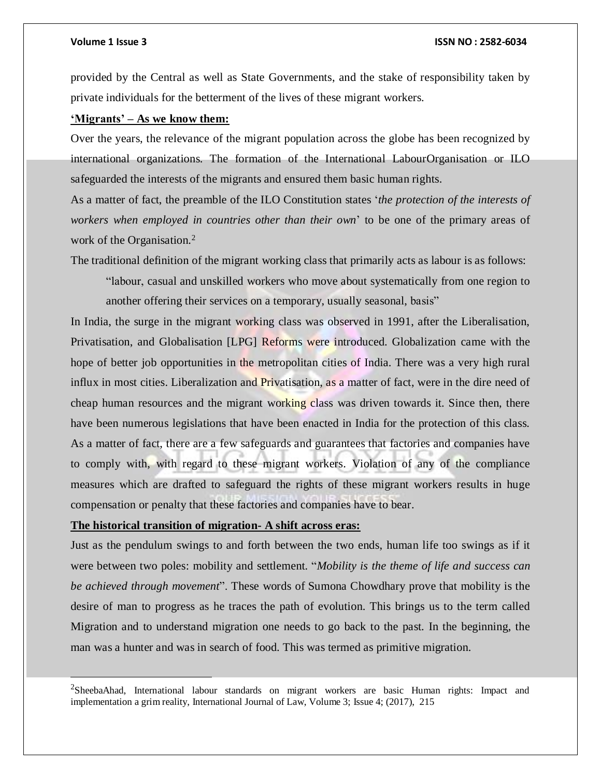$\overline{a}$ 

#### **Volume 1 Issue 3 ISSN NO : 2582-6034**

provided by the Central as well as State Governments, and the stake of responsibility taken by private individuals for the betterment of the lives of these migrant workers.

### **'Migrants' – As we know them:**

Over the years, the relevance of the migrant population across the globe has been recognized by international organizations. The formation of the International LabourOrganisation or ILO safeguarded the interests of the migrants and ensured them basic human rights.

As a matter of fact, the preamble of the ILO Constitution states '*the protection of the interests of workers when employed in countries other than their own*' to be one of the primary areas of work of the Organisation.<sup>2</sup>

The traditional definition of the migrant working class that primarily acts as labour is as follows:

"labour, casual and unskilled workers who move about systematically from one region to another offering their services on a temporary, usually seasonal, basis"

In India, the surge in the migrant working class was observed in 1991, after the Liberalisation, Privatisation, and Globalisation [LPG] Reforms were introduced. Globalization came with the hope of better job opportunities in the metropolitan cities of India. There was a very high rural influx in most cities. Liberalization and Privatisation, as a matter of fact, were in the dire need of cheap human resources and the migrant working class was driven towards it. Since then, there have been numerous legislations that have been enacted in India for the protection of this class. As a matter of fact, there are a few safeguards and guarantees that factories and companies have to comply with, with regard to these migrant workers. Violation of any of the compliance measures which are drafted to safeguard the rights of these migrant workers results in huge compensation or penalty that these factories and companies have to bear.

### **The historical transition of migration- A shift across eras:**

Just as the pendulum swings to and forth between the two ends, human life too swings as if it were between two poles: mobility and settlement. "*Mobility is the theme of life and success can be achieved through movement*". These words of Sumona Chowdhary prove that mobility is the desire of man to progress as he traces the path of evolution. This brings us to the term called Migration and to understand migration one needs to go back to the past. In the beginning, the man was a hunter and was in search of food. This was termed as primitive migration.

<sup>2</sup>SheebaAhad, International labour standards on migrant workers are basic Human rights: Impact and implementation a grim reality, International Journal of Law, Volume 3; Issue 4; (2017), 215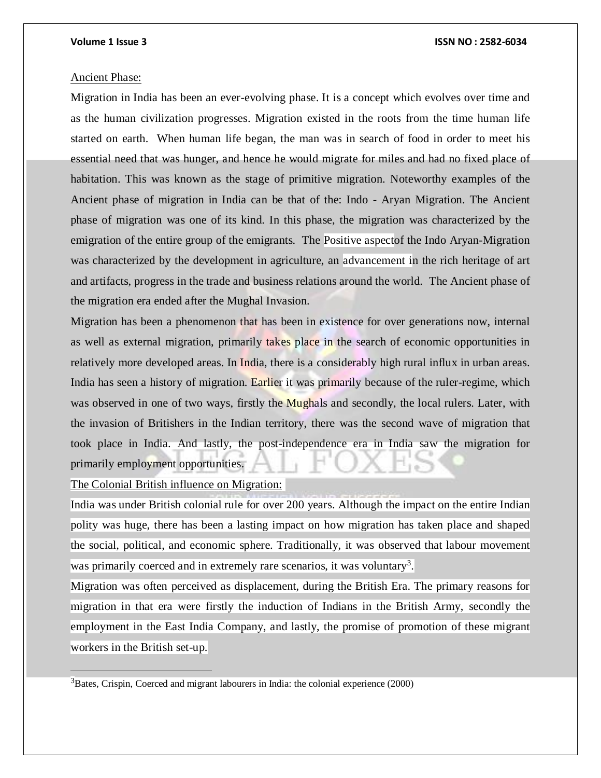#### Ancient Phase:

Migration in India has been an ever-evolving phase. It is a concept which evolves over time and as the human civilization progresses. Migration existed in the roots from the time human life started on earth. When human life began, the man was in search of food in order to meet his essential need that was hunger, and hence he would migrate for miles and had no fixed place of habitation. This was known as the stage of primitive migration. Noteworthy examples of the Ancient phase of migration in India can be that of the: Indo - Aryan Migration. The Ancient phase of migration was one of its kind. In this phase, the migration was characterized by the emigration of the entire group of the emigrants. The Positive aspectof the Indo Aryan-Migration was characterized by the development in agriculture, an advancement in the rich heritage of art and artifacts, progress in the trade and business relations around the world. The Ancient phase of the migration era ended after the Mughal Invasion.

Migration has been a phenomenon that has been in existence for over generations now, internal as well as external migration, primarily takes place in the search of economic opportunities in relatively more developed areas. In India, there is a considerably high rural influx in urban areas. India has seen a history of migration. Earlier it was primarily because of the ruler-regime, which was observed in one of two ways, firstly the Mughals and secondly, the local rulers. Later, with the invasion of Britishers in the Indian territory, there was the second wave of migration that took place in India. And lastly, the post-independence era in India saw the migration for primarily employment opportunities.

The Colonial British influence on Migration:

 $\overline{a}$ 

India was under British colonial rule for over 200 years. Although the impact on the entire Indian polity was huge, there has been a lasting impact on how migration has taken place and shaped the social, political, and economic sphere. Traditionally, it was observed that labour movement was primarily coerced and in extremely rare scenarios, it was voluntary<sup>3</sup>.

Migration was often perceived as displacement, during the British Era. The primary reasons for migration in that era were firstly the induction of Indians in the British Army, secondly the employment in the East India Company, and lastly, the promise of promotion of these migrant workers in the British set-up.

 $3B$ ates, Crispin, Coerced and migrant labourers in India: the colonial experience (2000)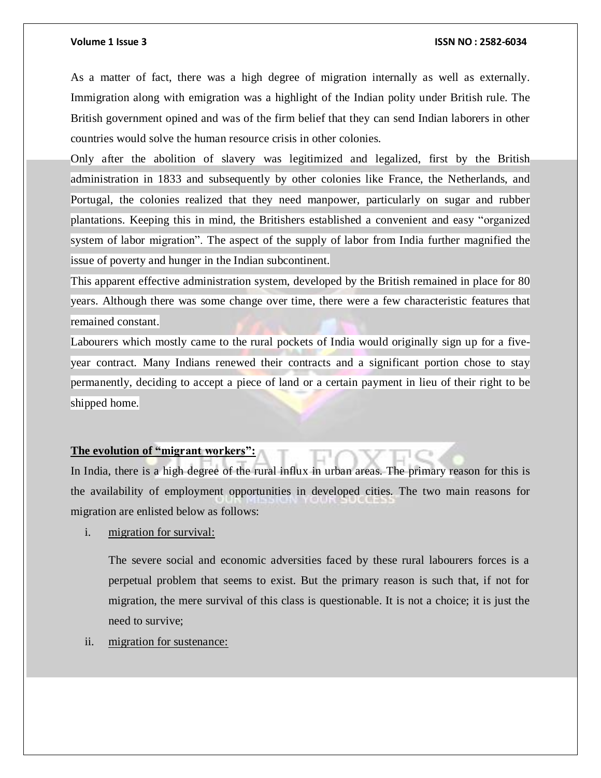As a matter of fact, there was a high degree of migration internally as well as externally. Immigration along with emigration was a highlight of the Indian polity under British rule. The British government opined and was of the firm belief that they can send Indian laborers in other countries would solve the human resource crisis in other colonies.

Only after the abolition of slavery was legitimized and legalized, first by the British administration in 1833 and subsequently by other colonies like France, the Netherlands, and Portugal, the colonies realized that they need manpower, particularly on sugar and rubber plantations. Keeping this in mind, the Britishers established a convenient and easy "organized system of labor migration". The aspect of the supply of labor from India further magnified the issue of poverty and hunger in the Indian subcontinent.

This apparent effective administration system, developed by the British remained in place for 80 years. Although there was some change over time, there were a few characteristic features that remained constant.

Labourers which mostly came to the rural pockets of India would originally sign up for a fiveyear contract. Many Indians renewed their contracts and a significant portion chose to stay permanently, deciding to accept a piece of land or a certain payment in lieu of their right to be shipped home.

### **The evolution of "migrant workers":**

In India, there is a high degree of the rural influx in urban areas. The primary reason for this is the availability of employment opportunities in developed cities. The two main reasons for migration are enlisted below as follows:

i. migration for survival:

The severe social and economic adversities faced by these rural labourers forces is a perpetual problem that seems to exist. But the primary reason is such that, if not for migration, the mere survival of this class is questionable. It is not a choice; it is just the need to survive;

ii. migration for sustenance: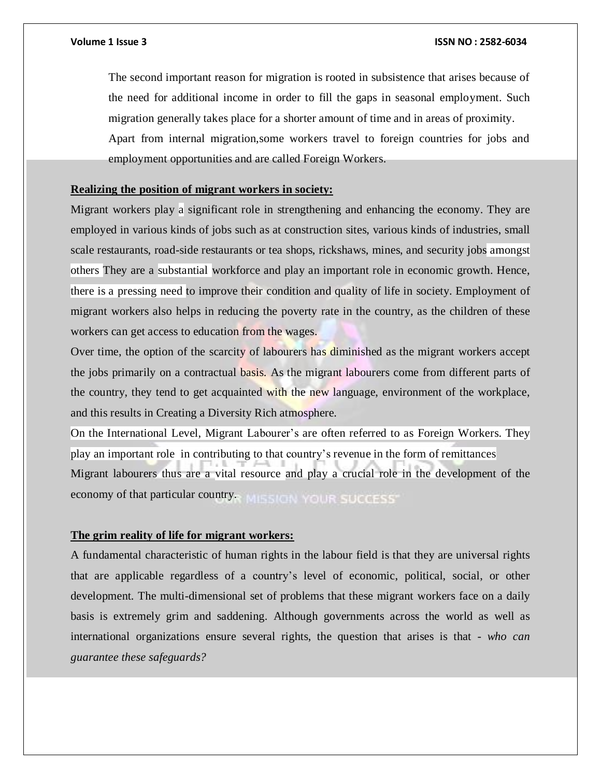The second important reason for migration is rooted in subsistence that arises because of the need for additional income in order to fill the gaps in seasonal employment. Such migration generally takes place for a shorter amount of time and in areas of proximity. Apart from internal migration,some workers travel to foreign countries for jobs and employment opportunities and are called Foreign Workers.

### **Realizing the position of migrant workers in society:**

Migrant workers play a significant role in strengthening and enhancing the economy. They are employed in various kinds of jobs such as at construction sites, various kinds of industries, small scale restaurants, road-side restaurants or tea shops, rickshaws, mines, and security jobs amongst others They are a substantial workforce and play an important role in economic growth. Hence, there is a pressing need to improve their condition and quality of life in society. Employment of migrant workers also helps in reducing the poverty rate in the country, as the children of these workers can get access to education from the wages.

Over time, the option of the scarcity of labourers has diminished as the migrant workers accept the jobs primarily on a contractual basis. As the migrant labourers come from different parts of the country, they tend to get acquainted with the new language, environment of the workplace, and this results in Creating a Diversity Rich atmosphere.

On the International Level, Migrant Labourer's are often referred to as Foreign Workers. They play an important role in contributing to that country's revenue in the form of remittances Migrant labourers thus are a vital resource and play a crucial role in the development of the economy of that particular country. MISSION YOUR SUCCESS

### **The grim reality of life for migrant workers:**

A fundamental characteristic of human rights in the labour field is that they are universal rights that are applicable regardless of a country's level of economic, political, social, or other development. The multi-dimensional set of problems that these migrant workers face on a daily basis is extremely grim and saddening. Although governments across the world as well as international organizations ensure several rights, the question that arises is that - *who can guarantee these safeguards?*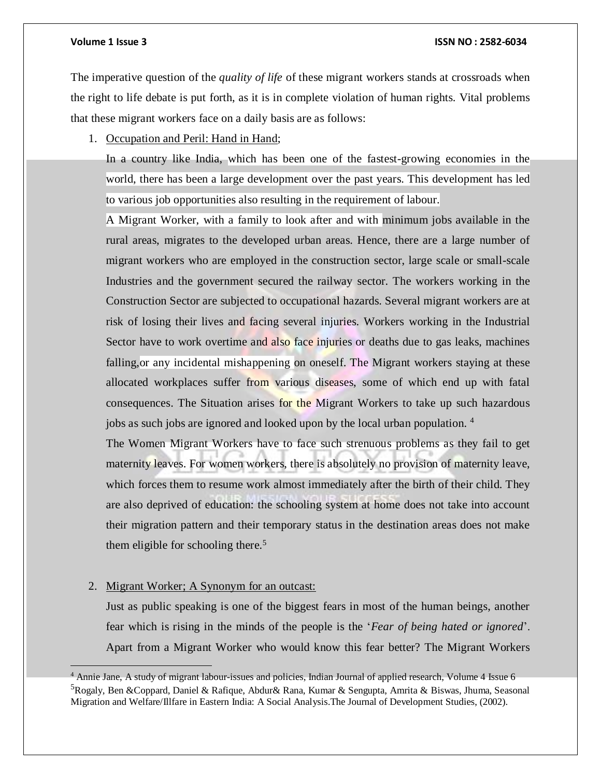The imperative question of the *quality of life* of these migrant workers stands at crossroads when the right to life debate is put forth, as it is in complete violation of human rights. Vital problems that these migrant workers face on a daily basis are as follows:

1. Occupation and Peril: Hand in Hand;

In a country like India, which has been one of the fastest-growing economies in the world, there has been a large development over the past years. This development has led to various job opportunities also resulting in the requirement of labour.

A Migrant Worker, with a family to look after and with minimum jobs available in the rural areas, migrates to the developed urban areas. Hence, there are a large number of migrant workers who are employed in the construction sector, large scale or small-scale Industries and the government secured the railway sector. The workers working in the Construction Sector are subjected to occupational hazards. Several migrant workers are at risk of losing their lives and facing several injuries. Workers working in the Industrial Sector have to work overtime and also face injuries or deaths due to gas leaks, machines falling, or any incidental mishappening on oneself. The Migrant workers staying at these allocated workplaces suffer from various diseases, some of which end up with fatal consequences. The Situation arises for the Migrant Workers to take up such hazardous jobs as such jobs are ignored and looked upon by the local urban population. <sup>4</sup>

The Women Migrant Workers have to face such strenuous problems as they fail to get maternity leaves. For women workers, there is absolutely no provision of maternity leave, which forces them to resume work almost immediately after the birth of their child. They are also deprived of education: the schooling system at home does not take into account their migration pattern and their temporary status in the destination areas does not make them eligible for schooling there. $5$ 

### 2. Migrant Worker; A Synonym for an outcast:

Just as public speaking is one of the biggest fears in most of the human beings, another fear which is rising in the minds of the people is the '*Fear of being hated or ignored*'. Apart from a Migrant Worker who would know this fear better? The Migrant Workers

 $<sup>4</sup>$  Annie Jane, A study of migrant labour-issues and policies, Indian Journal of applied research, Volume 4 Issue 6</sup> <sup>5</sup>Rogaly, Ben &Coppard, Daniel & Rafique, Abdur& Rana, Kumar & Sengupta, Amrita & Biswas, Jhuma, Seasonal Migration and Welfare/Illfare in Eastern India: A Social Analysis.The Journal of Development Studies, (2002).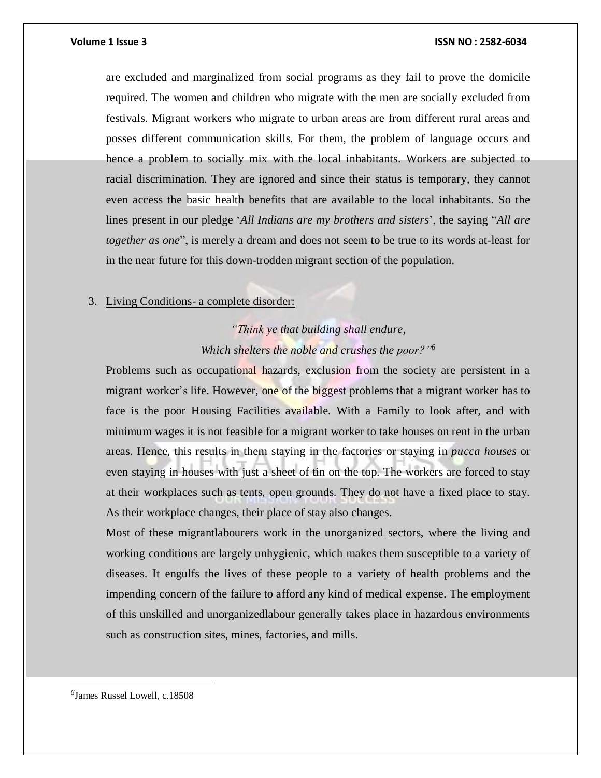are excluded and marginalized from social programs as they fail to prove the domicile required. The women and children who migrate with the men are socially excluded from festivals. Migrant workers who migrate to urban areas are from different rural areas and posses different communication skills. For them, the problem of language occurs and hence a problem to socially mix with the local inhabitants. Workers are subjected to racial discrimination. They are ignored and since their status is temporary, they cannot even access the basic health benefits that are available to the local inhabitants. So the lines present in our pledge '*All Indians are my brothers and sisters*', the saying "*All are together as one*", is merely a dream and does not seem to be true to its words at-least for in the near future for this down-trodden migrant section of the population.

#### 3. Living Conditions- a complete disorder:

# *"Think ye that building shall endure, Which shelters the noble and crushes the poor?"<sup>6</sup>*

Problems such as occupational hazards, exclusion from the society are persistent in a migrant worker's life. However, one of the biggest problems that a migrant worker has to face is the poor Housing Facilities available. With a Family to look after, and with minimum wages it is not feasible for a migrant worker to take houses on rent in the urban areas. Hence, this results in them staying in the factories or staying in *pucca houses* or even staying in houses with just a sheet of tin on the top. The workers are forced to stay at their workplaces such as tents, open grounds. They do not have a fixed place to stay. As their workplace changes, their place of stay also changes.

Most of these migrantlabourers work in the unorganized sectors, where the living and working conditions are largely unhygienic, which makes them susceptible to a variety of diseases. It engulfs the lives of these people to a variety of health problems and the impending concern of the failure to afford any kind of medical expense. The employment of this unskilled and unorganizedlabour generally takes place in hazardous environments such as construction sites, mines, factories, and mills.

*6* James Russel Lowell, c.18508

 $\overline{\phantom{a}}$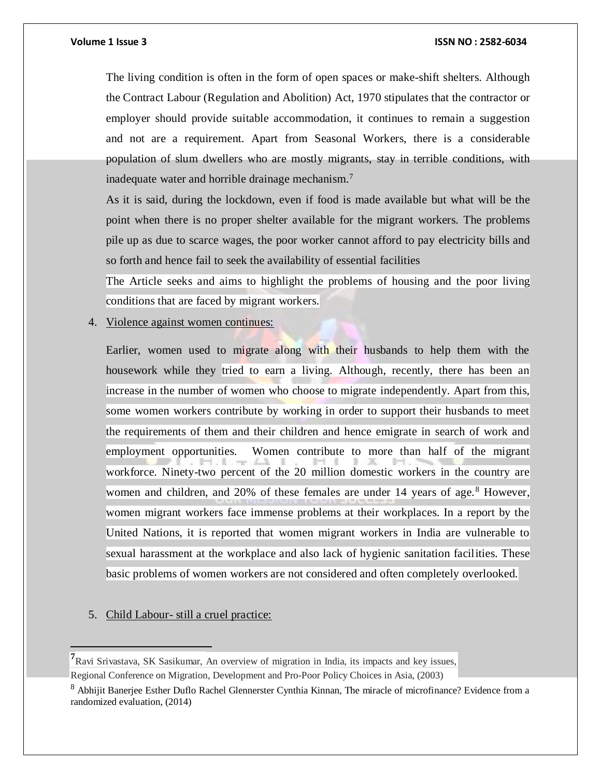The living condition is often in the form of open spaces or make-shift shelters. Although the Contract Labour (Regulation and Abolition) Act, 1970 stipulates that the contractor or employer should provide suitable accommodation, it continues to remain a suggestion and not are a requirement. Apart from Seasonal Workers, there is a considerable population of slum dwellers who are mostly migrants, stay in terrible conditions, with inadequate water and horrible drainage mechanism.<sup>7</sup>

As it is said, during the lockdown, even if food is made available but what will be the point when there is no proper shelter available for the migrant workers. The problems pile up as due to scarce wages, the poor worker cannot afford to pay electricity bills and so forth and hence fail to seek the availability of essential facilities

The Article seeks and aims to highlight the problems of housing and the poor living conditions that are faced by migrant workers.

### 4. Violence against women continues:

Earlier, women used to migrate along with their husbands to help them with the housework while they tried to earn a living. Although, recently, there has been an increase in the number of women who choose to migrate independently. Apart from this, some women workers contribute by working in order to support their husbands to meet the requirements of them and their children and hence emigrate in search of work and employment opportunities. Women contribute to more than half of the migrant workforce. Ninety-two percent of the 20 million domestic workers in the country are women and children, and 20% of these females are under 14 years of age.<sup>8</sup> However, women migrant workers face immense problems at their workplaces. In a report by the United Nations, it is reported that women migrant workers in India are vulnerable to sexual harassment at the workplace and also lack of hygienic sanitation facilities. These basic problems of women workers are not considered and often completely overlooked.

### 5. Child Labour- still a cruel practice:

 $\overline{a}$ 

**<sup>7</sup>**Ravi Srivastava, SK Sasikumar, An overview of migration in India, its impacts and key issues,

Regional Conference on Migration, Development and Pro-Poor Policy Choices in Asia, (2003)

<sup>8</sup> Abhijit Banerjee Esther Duflo Rachel Glennerster Cynthia Kinnan, The miracle of microfinance? Evidence from a randomized evaluation, (2014)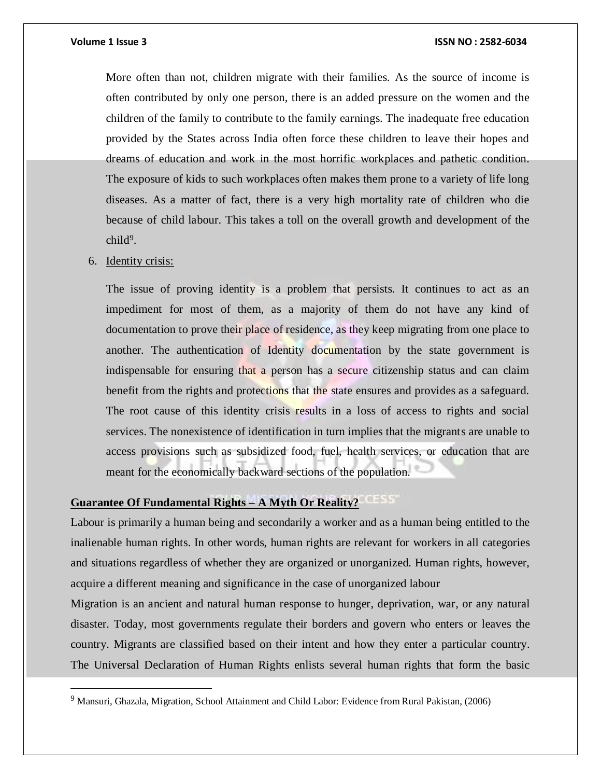More often than not, children migrate with their families. As the source of income is often contributed by only one person, there is an added pressure on the women and the children of the family to contribute to the family earnings. The inadequate free education provided by the States across India often force these children to leave their hopes and dreams of education and work in the most horrific workplaces and pathetic condition. The exposure of kids to such workplaces often makes them prone to a variety of life long diseases. As a matter of fact, there is a very high mortality rate of children who die because of child labour. This takes a toll on the overall growth and development of the child<sup>9</sup>.

#### 6. Identity crisis:

 $\overline{a}$ 

The issue of proving identity is a problem that persists. It continues to act as an impediment for most of them, as a majority of them do not have any kind of documentation to prove their place of residence, as they keep migrating from one place to another. The authentication of Identity documentation by the state government is indispensable for ensuring that a person has a secure citizenship status and can claim benefit from the rights and protections that the state ensures and provides as a safeguard. The root cause of this identity crisis results in a loss of access to rights and social services. The nonexistence of identification in turn implies that the migrants are unable to access provisions such as subsidized food, fuel, health services, or education that are meant for the economically backward sections of the population.

### **Guarantee Of Fundamental Rights – A Myth Or Reality?**

Labour is primarily a human being and secondarily a worker and as a human being entitled to the inalienable human rights. In other words, human rights are relevant for workers in all categories and situations regardless of whether they are organized or unorganized. Human rights, however, acquire a different meaning and significance in the case of unorganized labour

Migration is an ancient and natural human response to hunger, deprivation, war, or any natural disaster. Today, most governments regulate their borders and govern who enters or leaves the country. Migrants are classified based on their intent and how they enter a particular country. The Universal Declaration of Human Rights enlists several human rights that form the basic

<sup>&</sup>lt;sup>9</sup> Mansuri, Ghazala, Migration, School Attainment and Child Labor: Evidence from Rural Pakistan, (2006)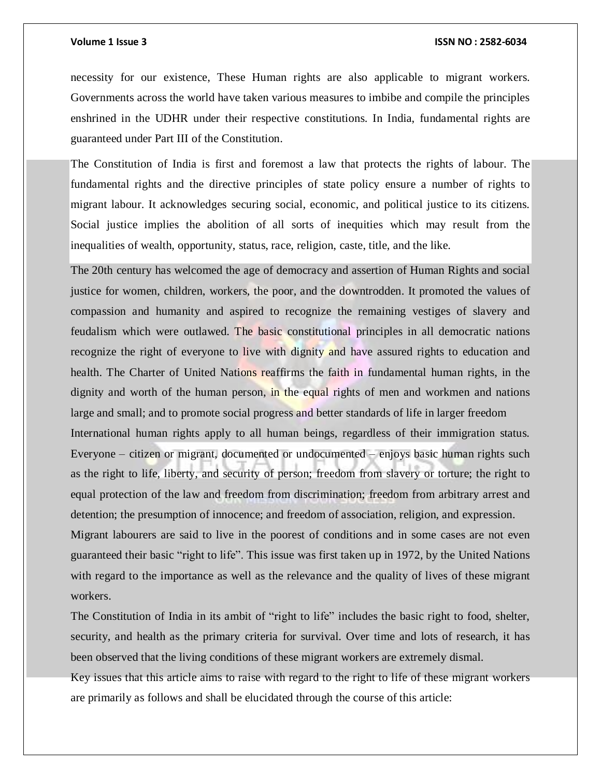necessity for our existence, These Human rights are also applicable to migrant workers. Governments across the world have taken various measures to imbibe and compile the principles enshrined in the UDHR under their respective constitutions. In India, fundamental rights are guaranteed under Part III of the Constitution.

The Constitution of India is first and foremost a law that protects the rights of labour. The fundamental rights and the directive principles of state policy ensure a number of rights to migrant labour. It acknowledges securing social, economic, and political justice to its citizens. Social justice implies the abolition of all sorts of inequities which may result from the inequalities of wealth, opportunity, status, race, religion, caste, title, and the like.

The 20th century has welcomed the age of democracy and assertion of Human Rights and social justice for women, children, workers, the poor, and the downtrodden. It promoted the values of compassion and humanity and aspired to recognize the remaining vestiges of slavery and feudalism which were outlawed. The basic constitutional principles in all democratic nations recognize the right of everyone to live with dignity and have assured rights to education and health. The Charter of United Nations reaffirms the faith in fundamental human rights, in the dignity and worth of the human person, in the equal rights of men and workmen and nations large and small; and to promote social progress and better standards of life in larger freedom International human rights apply to all human beings, regardless of their immigration status. Everyone – citizen or migrant, documented or undocumented – enjoys basic human rights such as the right to life, liberty, and security of person; freedom from slavery or torture; the right to equal protection of the law and freedom from discrimination; freedom from arbitrary arrest and detention; the presumption of innocence; and freedom of association, religion, and expression. Migrant labourers are said to live in the poorest of conditions and in some cases are not even guaranteed their basic "right to life". This issue was first taken up in 1972, by the United Nations with regard to the importance as well as the relevance and the quality of lives of these migrant workers.

The Constitution of India in its ambit of "right to life" includes the basic right to food, shelter, security, and health as the primary criteria for survival. Over time and lots of research, it has been observed that the living conditions of these migrant workers are extremely dismal.

Key issues that this article aims to raise with regard to the right to life of these migrant workers are primarily as follows and shall be elucidated through the course of this article: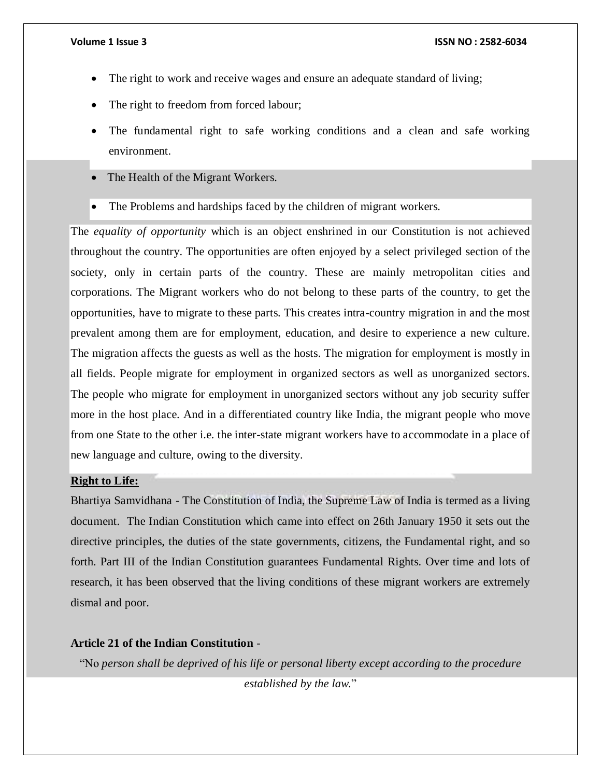- The right to work and receive wages and ensure an adequate standard of living;
- The right to freedom from forced labour;
- The fundamental right to safe working conditions and a clean and safe working environment.
- The Health of the Migrant Workers.
- The Problems and hardships faced by the children of migrant workers.

The *equality of opportunity* which is an object enshrined in our Constitution is not achieved throughout the country. The opportunities are often enjoyed by a select privileged section of the society, only in certain parts of the country. These are mainly metropolitan cities and corporations. The Migrant workers who do not belong to these parts of the country, to get the opportunities, have to migrate to these parts. This creates intra-country migration in and the most prevalent among them are for employment, education, and desire to experience a new culture. The migration affects the guests as well as the hosts. The migration for employment is mostly in all fields. People migrate for employment in organized sectors as well as unorganized sectors. The people who migrate for employment in unorganized sectors without any job security suffer more in the host place. And in a differentiated country like India, the migrant people who move from one State to the other i.e. the inter-state migrant workers have to accommodate in a place of new language and culture, owing to the diversity.

### **Right to Life:**

Bhartiya Samvidhana - The Constitution of India, the Supreme Law of India is termed as a living document. The Indian Constitution which came into effect on 26th January 1950 it sets out the directive principles, the duties of the state governments, citizens, the Fundamental right, and so forth. Part III of the Indian Constitution guarantees Fundamental Rights. Over time and lots of research, it has been observed that the living conditions of these migrant workers are extremely dismal and poor.

#### **Article 21 of the Indian Constitution** -

"No *person shall be deprived of his life or personal liberty except according to the procedure established by the law.*"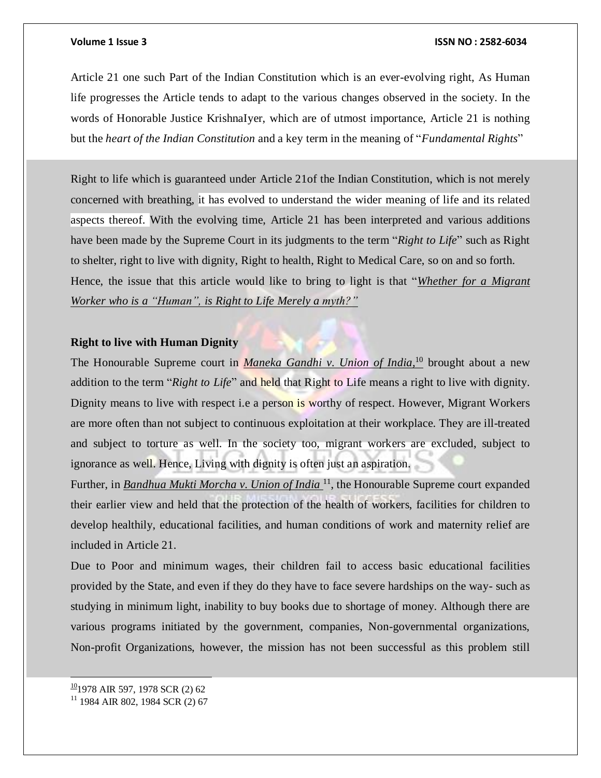Article 21 one such Part of the Indian Constitution which is an ever-evolving right, As Human life progresses the Article tends to adapt to the various changes observed in the society. In the words of Honorable Justice KrishnaIyer, which are of utmost importance, Article 21 is nothing but the *heart of the Indian Constitution* and a key term in the meaning of "*Fundamental Rights*"

Right to life which is guaranteed under Article 21of the Indian Constitution, which is not merely concerned with breathing, it has evolved to understand the wider meaning of life and its related aspects thereof. With the evolving time, Article 21 has been interpreted and various additions have been made by the Supreme Court in its judgments to the term "*Right to Life*" such as Right to shelter, right to live with dignity, Right to health, Right to Medical Care, so on and so forth. Hence, the issue that this article would like to bring to light is that "*Whether for a Migrant Worker who is a "Human", is Right to Life Merely a myth?"*

### **Right to live with Human Dignity**

The Honourable Supreme court in *Maneka Gandhi v. Union of India,*<sup>10</sup> brought about a new addition to the term "*Right to Life*" and held that Right to Life means a right to live with dignity. Dignity means to live with respect i.e a person is worthy of respect. However, Migrant Workers are more often than not subject to continuous exploitation at their workplace. They are ill-treated and subject to torture as well. In the society too, migrant workers are excluded, subject to ignorance as well. Hence, Living with dignity is often just an aspiration.

Further, in *Bandhua Mukti Morcha v. Union of India* <sup>11</sup> , the Honourable Supreme court expanded their earlier view and held that the protection of the health of workers, facilities for children to develop healthily, educational facilities, and human conditions of work and maternity relief are included in Article 21.

Due to Poor and minimum wages, their children fail to access basic educational facilities provided by the State, and even if they do they have to face severe hardships on the way- such as studying in minimum light, inability to buy books due to shortage of money. Although there are various programs initiated by the government, companies, Non-governmental organizations, Non-profit Organizations, however, the mission has not been successful as this problem still

 $\frac{10}{1978}$  AIR 597, 1978 SCR (2) 62

 $\overline{a}$ 

<sup>&</sup>lt;sup>11</sup> 1984 AIR 802, 1984 SCR (2) 67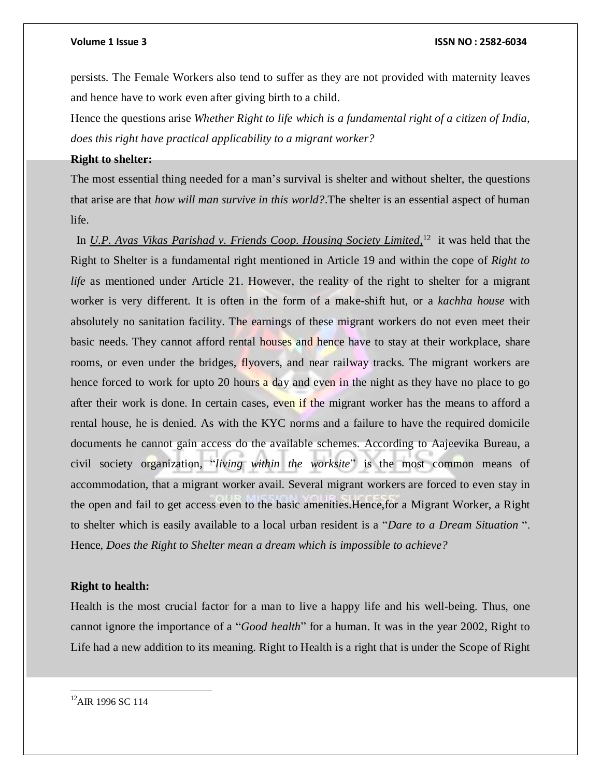persists. The Female Workers also tend to suffer as they are not provided with maternity leaves and hence have to work even after giving birth to a child.

Hence the questions arise *Whether Right to life which is a fundamental right of a citizen of India, does this right have practical applicability to a migrant worker?*

#### **Right to shelter:**

The most essential thing needed for a man's survival is shelter and without shelter, the questions that arise are that *how will man survive in this world?*.The shelter is an essential aspect of human life.

 In *U.P. Avas Vikas Parishad v. Friends Coop. Housing Society Limited,*<sup>12</sup> it was held that the Right to Shelter is a fundamental right mentioned in Article 19 and within the cope of *Right to life* as mentioned under Article 21. However, the reality of the right to shelter for a migrant worker is very different. It is often in the form of a make-shift hut, or a *kachha house* with absolutely no sanitation facility. The earnings of these migrant workers do not even meet their basic needs. They cannot afford rental houses and hence have to stay at their workplace, share rooms, or even under the bridges, flyovers, and near railway tracks. The migrant workers are hence forced to work for upto 20 hours a day and even in the night as they have no place to go after their work is done. In certain cases, even if the migrant worker has the means to afford a rental house, he is denied. As with the KYC norms and a failure to have the required domicile documents he cannot gain access do the available schemes. According to Aajeevika Bureau, a civil society organization, "*living within the worksite*" is the most common means of accommodation, that a migrant worker avail. Several migrant workers are forced to even stay in the open and fail to get access even to the basic amenities.Hence,for a Migrant Worker, a Right to shelter which is easily available to a local urban resident is a "*Dare to a Dream Situation* ". Hence, *Does the Right to Shelter mean a dream which is impossible to achieve?*

### **Right to health:**

Health is the most crucial factor for a man to live a happy life and his well-being. Thus, one cannot ignore the importance of a "*Good health*" for a human. It was in the year 2002, Right to Life had a new addition to its meaning. Right to Health is a right that is under the Scope of Right

<sup>12</sup>AIR 1996 SC 114

 $\overline{a}$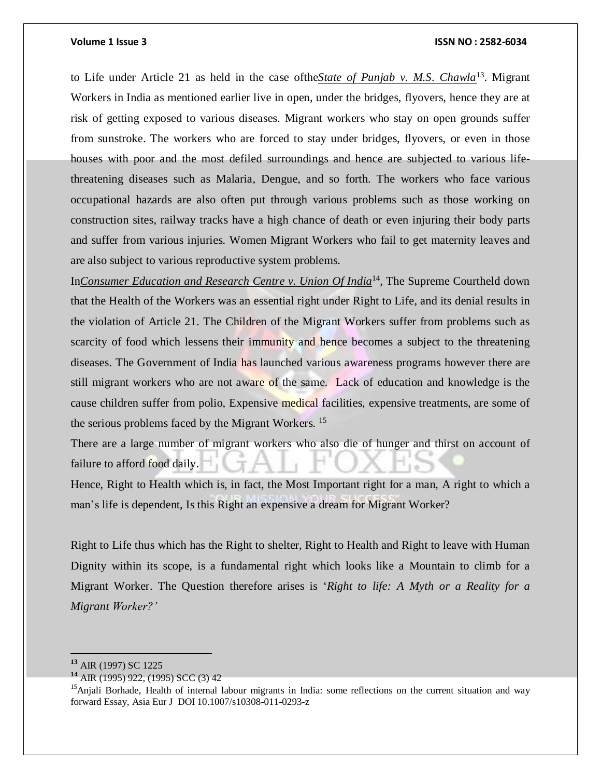to Life under Article 21 as held in the case ofthe*State of Punjab v. M.S. Chawla*<sup>13</sup> . Migrant Workers in India as mentioned earlier live in open, under the bridges, flyovers, hence they are at risk of getting exposed to various diseases. Migrant workers who stay on open grounds suffer from sunstroke. The workers who are forced to stay under bridges, flyovers, or even in those houses with poor and the most defiled surroundings and hence are subjected to various lifethreatening diseases such as Malaria, Dengue, and so forth. The workers who face various occupational hazards are also often put through various problems such as those working on construction sites, railway tracks have a high chance of death or even injuring their body parts and suffer from various injuries. Women Migrant Workers who fail to get maternity leaves and are also subject to various reproductive system problems.

In*Consumer Education and Research Centre v. Union Of India*<sup>14</sup> , The Supreme Courtheld down that the Health of the Workers was an essential right under Right to Life, and its denial results in the violation of Article 21. The Children of the Migrant Workers suffer from problems such as scarcity of food which lessens their immunity and hence becomes a subject to the threatening diseases. The Government of India has launched various awareness programs however there are still migrant workers who are not aware of the same. Lack of education and knowledge is the cause children suffer from polio, Expensive medical facilities, expensive treatments, are some of the serious problems faced by the Migrant Workers. <sup>15</sup>

There are a large number of migrant workers who also die of hunger and thirst on account of failure to afford food daily.

Hence, Right to Health which is, in fact, the Most Important right for a man, A right to which a man's life is dependent, Is this Right an expensive a dream for Migrant Worker?

Right to Life thus which has the Right to shelter, Right to Health and Right to leave with Human Dignity within its scope, is a fundamental right which looks like a Mountain to climb for a Migrant Worker. The Question therefore arises is '*Right to life: A Myth or a Reality for a Migrant Worker?'*

**<sup>13</sup>** AIR (1997) SC 1225

**<sup>14</sup>** AIR (1995) 922, (1995) SCC (3) 42

<sup>&</sup>lt;sup>15</sup>Anjali Borhade, Health of internal labour migrants in India: some reflections on the current situation and way forward Essay, Asia Eur J DOI 10.1007/s10308-011-0293-z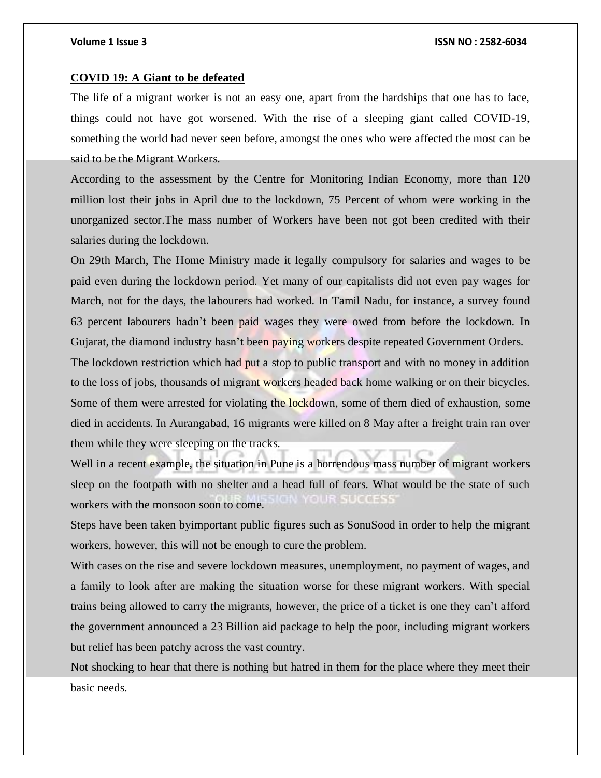#### **COVID 19: A Giant to be defeated**

The life of a migrant worker is not an easy one, apart from the hardships that one has to face, things could not have got worsened. With the rise of a sleeping giant called COVID-19, something the world had never seen before, amongst the ones who were affected the most can be said to be the Migrant Workers.

According to the assessment by the Centre for Monitoring Indian Economy, more than 120 million lost their jobs in April due to the lockdown, 75 Percent of whom were working in the unorganized sector.The mass number of Workers have been not got been credited with their salaries during the lockdown.

On 29th March, The Home Ministry made it legally compulsory for salaries and wages to be paid even during the lockdown period. Yet many of our capitalists did not even pay wages for March, not for the days, the labourers had worked. In Tamil Nadu, for instance, a survey found 63 percent labourers hadn't been paid wages they were owed from before the lockdown. In Gujarat, the diamond industry hasn't been paying workers despite repeated Government Orders.

The lockdown restriction which had put a stop to public transport and with no money in addition to the loss of jobs, thousands of migrant workers headed back home walking or on their bicycles. Some of them were arrested for violating the lockdown, some of them died of exhaustion, some died in accidents. In Aurangabad, 16 migrants were killed on 8 May after a freight train ran over them while they were sleeping on the tracks.

Well in a recent example, the situation in Pune is a horrendous mass number of migrant workers sleep on the footpath with no shelter and a head full of fears. What would be the state of such workers with the monsoon soon to come.

Steps have been taken byimportant public figures such as SonuSood in order to help the migrant workers, however, this will not be enough to cure the problem.

With cases on the rise and severe lockdown measures, unemployment, no payment of wages, and a family to look after are making the situation worse for these migrant workers. With special trains being allowed to carry the migrants, however, the price of a ticket is one they can't afford the government announced a 23 Billion aid package to help the poor, including migrant workers but relief has been patchy across the vast country.

Not shocking to hear that there is nothing but hatred in them for the place where they meet their basic needs.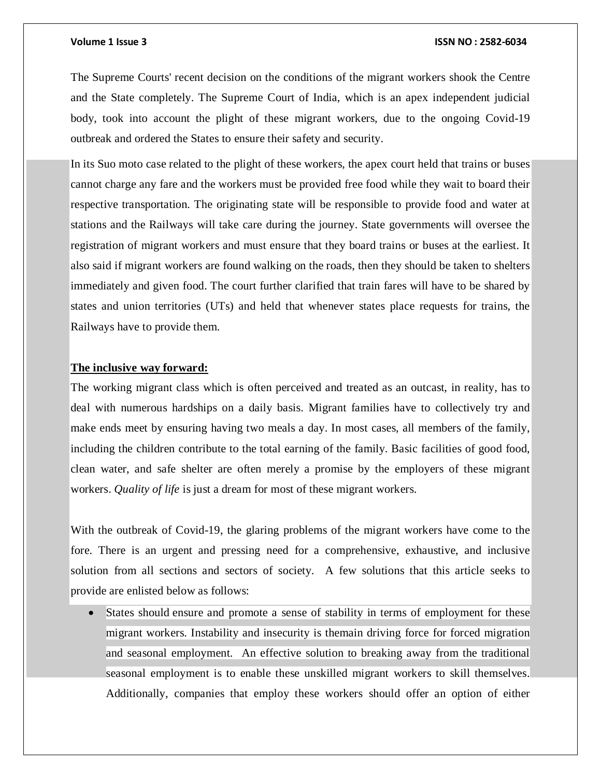The Supreme Courts' recent decision on the conditions of the migrant workers shook the Centre and the State completely. The Supreme Court of India, which is an apex independent judicial body, took into account the plight of these migrant workers, due to the ongoing Covid-19 outbreak and ordered the States to ensure their safety and security.

In its Suo moto case related to the plight of these workers, the apex court held that trains or buses cannot charge any fare and the workers must be provided free food while they wait to board their respective transportation. The originating state will be responsible to provide food and water at stations and the Railways will take care during the journey. State governments will oversee the registration of migrant workers and must ensure that they board trains or buses at the earliest. It also said if migrant workers are found walking on the roads, then they should be taken to shelters immediately and given food. The court further clarified that train fares will have to be shared by states and union territories (UTs) and held that whenever states place requests for trains, the Railways have to provide them.

### **The inclusive way forward:**

The working migrant class which is often perceived and treated as an outcast, in reality, has to deal with numerous hardships on a daily basis. Migrant families have to collectively try and make ends meet by ensuring having two meals a day. In most cases, all members of the family, including the children contribute to the total earning of the family. Basic facilities of good food, clean water, and safe shelter are often merely a promise by the employers of these migrant workers. *Quality of life* is just a dream for most of these migrant workers.

With the outbreak of Covid-19, the glaring problems of the migrant workers have come to the fore. There is an urgent and pressing need for a comprehensive, exhaustive, and inclusive solution from all sections and sectors of society. A few solutions that this article seeks to provide are enlisted below as follows:

 States should ensure and promote a sense of stability in terms of employment for these migrant workers. Instability and insecurity is themain driving force for forced migration and seasonal employment. An effective solution to breaking away from the traditional seasonal employment is to enable these unskilled migrant workers to skill themselves. Additionally, companies that employ these workers should offer an option of either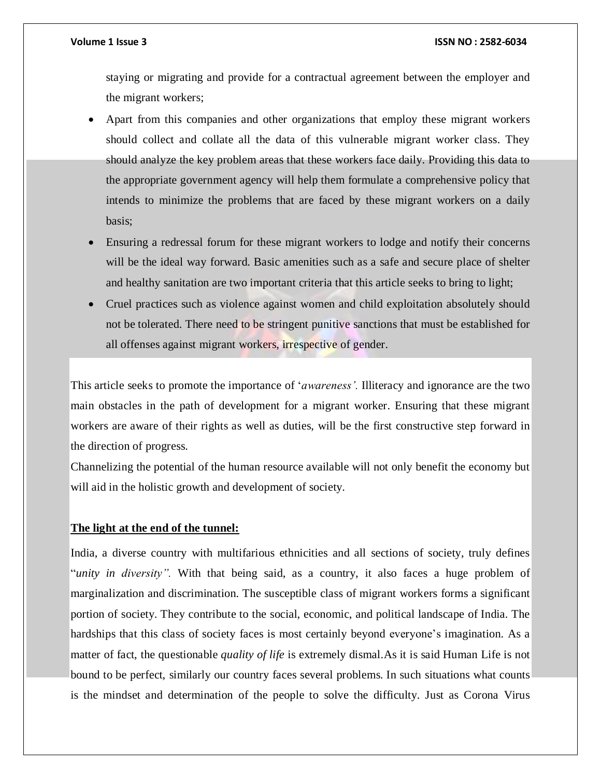staying or migrating and provide for a contractual agreement between the employer and the migrant workers;

- Apart from this companies and other organizations that employ these migrant workers should collect and collate all the data of this vulnerable migrant worker class. They should analyze the key problem areas that these workers face daily. Providing this data to the appropriate government agency will help them formulate a comprehensive policy that intends to minimize the problems that are faced by these migrant workers on a daily basis;
- Ensuring a redressal forum for these migrant workers to lodge and notify their concerns will be the ideal way forward. Basic amenities such as a safe and secure place of shelter and healthy sanitation are two important criteria that this article seeks to bring to light;
- Cruel practices such as violence against women and child exploitation absolutely should not be tolerated. There need to be stringent punitive sanctions that must be established for all offenses against migrant workers, *irrespective* of gender.

This article seeks to promote the importance of '*awareness'.* Illiteracy and ignorance are the two main obstacles in the path of development for a migrant worker. Ensuring that these migrant workers are aware of their rights as well as duties, will be the first constructive step forward in the direction of progress.

Channelizing the potential of the human resource available will not only benefit the economy but will aid in the holistic growth and development of society.

#### **The light at the end of the tunnel:**

India, a diverse country with multifarious ethnicities and all sections of society, truly defines "*unity in diversity".* With that being said, as a country, it also faces a huge problem of marginalization and discrimination. The susceptible class of migrant workers forms a significant portion of society. They contribute to the social, economic, and political landscape of India. The hardships that this class of society faces is most certainly beyond everyone's imagination. As a matter of fact, the questionable *quality of life* is extremely dismal.As it is said Human Life is not bound to be perfect, similarly our country faces several problems. In such situations what counts is the mindset and determination of the people to solve the difficulty. Just as Corona Virus